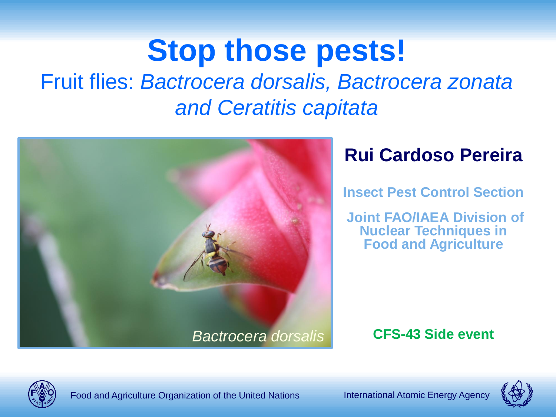# **Stop those pests!**

Fruit flies: *Bactrocera dorsalis, Bactrocera zonata and Ceratitis capitata*



#### **Rui Cardoso Pereira**

**Insect Pest Control Section**

**Joint FAO/IAEA Division of Nuclear Techniques in Food and Agriculture**



Food and Agriculture Organization of the United Nations **International Atomic Energy Agency** 

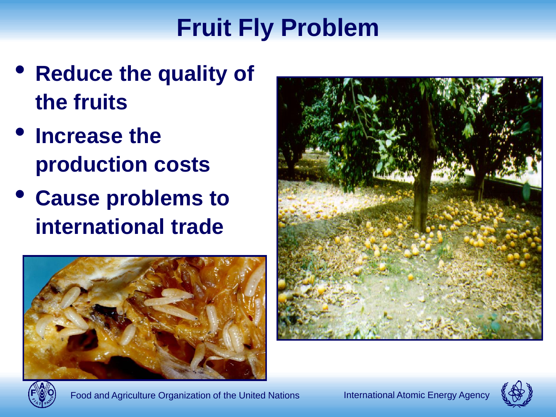## **Fruit Fly Problem**

- **Reduce the quality of the fruits**
- **Increase the production costs**
- **Cause problems to international trade**







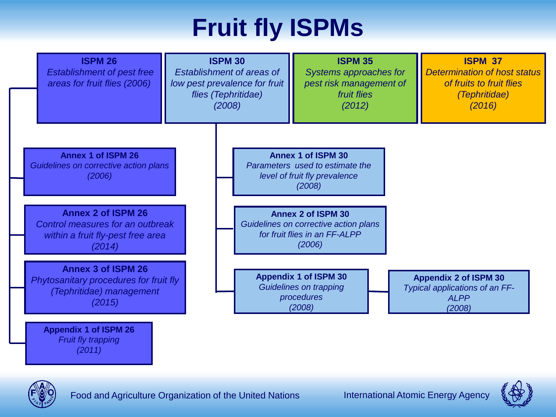## **Fruit fly ISPMs**





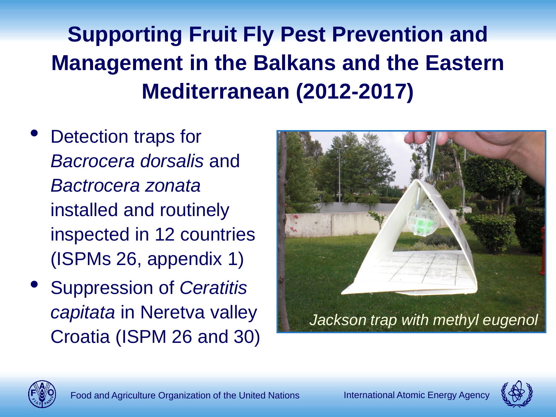## **Supporting Fruit Fly Pest Prevention and Management in the Balkans and the Eastern Mediterranean (2012-2017)**

- Detection traps for *Bacrocera dorsalis* and *Bactrocera zonata* installed and routinely inspected in 12 countries (ISPMs 26, appendix 1)
- Suppression of *Ceratitis capitata* in Neretva valley Croatia (ISPM 26 and 30)





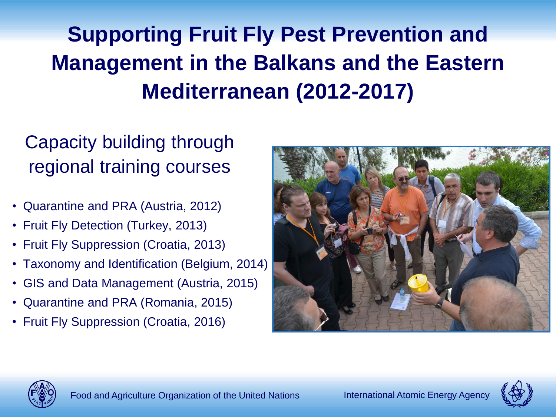## **Supporting Fruit Fly Pest Prevention and Management in the Balkans and the Eastern Mediterranean (2012-2017)**

#### Capacity building through regional training courses

- Quarantine and PRA (Austria, 2012)
- Fruit Fly Detection (Turkey, 2013)
- Fruit Fly Suppression (Croatia, 2013)
- Taxonomy and Identification (Belgium, 2014)
- GIS and Data Management (Austria, 2015)
- Quarantine and PRA (Romania, 2015)
- Fruit Fly Suppression (Croatia, 2016)





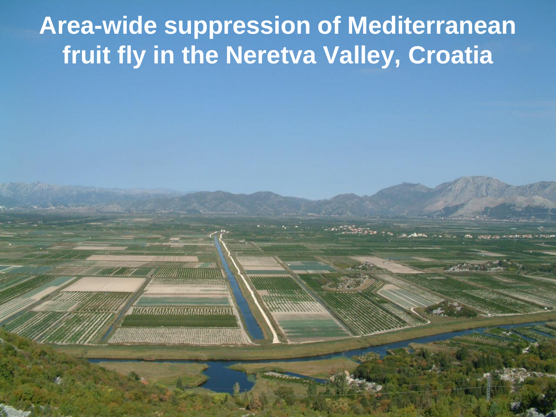#### **Area-wide suppression of Mediterranean fruit fly in the Neretva Valley, Croatia**

Food and Agriculture Organization of the United Nations International Atomic Energy Agency

**ZERE AN ANNA ANNA ANNA ANN**